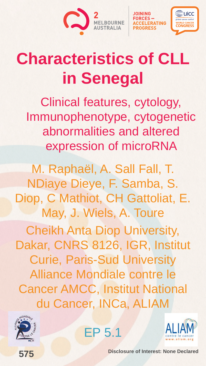



## **Characteristics of CLL in Senegal**

Clinical features, cytology, Immunophenotype, cytogenetic abnormalities and altered expression of microRNA

M. Raphaël, A. Sall Fall, T. NDiaye Dieye, F. Samba, S. Diop, C Mathiot, CH Gattoliat, E. May, J. Wiels, A. Toure Cheikh Anta Diop University, Dakar, CNRS 8126, IGR, Institut Curie, Paris-Sud University Alliance Mondiale contre le Cancer AMCC, Institut National du Cancer, INCa, ALIAM





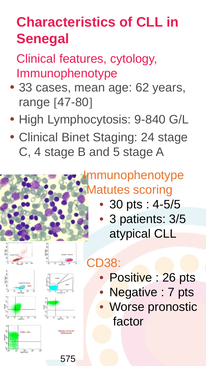## **Characteristics of CLL in Senegal**

Clinical features, cytology, Immunophenotype

- 33 cases, mean age: 62 years, range [47-80]
- High Lymphocytosis: 9-840 G/L
- Clinical Binet Staging: 24 stage C, 4 stage B and 5 stage A





- 30 pts : 4-5/5
- 3 patients: 3/5 atypical CLL



575

## CD38:

- Positive : 26 pts
- Negative : 7 pts
- Worse pronostic factor